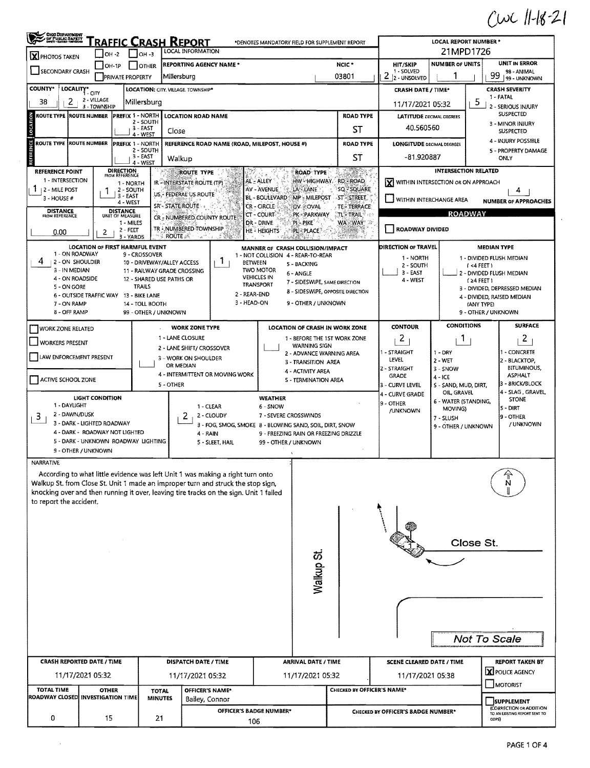$Cwc11-18-21$ 

| OHO DEPARTMENT                                                                         |                        | OH -2                                  | $OH - 3$              | <u>'raffic Crash Report</u><br>LOCAL INFORMATION     |                                                                                |                                 |                                                 | *DENOTES MANDATORY FIELD FOR SUPPLEMENT REPORT                                                 |                                                      | <b>LOCAL REPORT NUMBER *</b><br>21MPD1726 |                                                             |  |  |
|----------------------------------------------------------------------------------------|------------------------|----------------------------------------|-----------------------|------------------------------------------------------|--------------------------------------------------------------------------------|---------------------------------|-------------------------------------------------|------------------------------------------------------------------------------------------------|------------------------------------------------------|-------------------------------------------|-------------------------------------------------------------|--|--|
| X PHOTOS TAKEN                                                                         |                        | $IOH-1P$                               | <b>OTHER</b>          | <b>REPORTING AGENCY NAME *</b>                       |                                                                                |                                 |                                                 | NCIC <sup>*</sup>                                                                              | <b>HIT/SKIP</b>                                      | <b>NUMBER OF UNITS</b>                    | <b>UNIT IN ERROR</b>                                        |  |  |
| SECONDARY CRASH<br><b>PRIVATE PROPERTY</b>                                             |                        |                                        | Millersburg           |                                                      |                                                                                |                                 | 03801                                           | 1 - SOLVED<br>2                                                                                |                                                      | 98 - ANIMAL<br>99                         |                                                             |  |  |
| <b>COUNTY*</b><br>LOCALITY* CITY<br><b>LOCATION: CITY. VILLAGE. TOWNSHIP*</b>          |                        |                                        |                       |                                                      |                                                                                |                                 |                                                 | 2 - UNSOLVED<br>99 - UNKNOWN                                                                   |                                                      |                                           |                                                             |  |  |
| 2 - VILLAGE                                                                            |                        |                                        |                       |                                                      |                                                                                |                                 |                                                 | <b>CRASH SEVERITY</b><br><b>CRASH DATE / TIME*</b><br>1 - FATAL                                |                                                      |                                           |                                                             |  |  |
| 2<br>38                                                                                | 3 - TOWNSHIP           |                                        | Millersburg           |                                                      |                                                                                |                                 |                                                 |                                                                                                | 11/17/2021 05:32                                     |                                           | 5<br>2 - SERIOUS INJURY                                     |  |  |
| ROUTE TYPE (ROUTE NUMBER                                                               |                        | PREFIX 1 - NORTH                       | 2 - SOUTH             | <b>LOCATION ROAD NAME</b>                            |                                                                                |                                 |                                                 | <b>ROAD TYPE</b>                                                                               |                                                      | <b>LATITUDE</b> DECIMAL DEGREES           | <b>SUSPECTED</b><br>3 - MINOR INJURY                        |  |  |
|                                                                                        |                        |                                        | 3 - EAST<br>4 - WEST  | Close                                                |                                                                                |                                 |                                                 | ST                                                                                             | 40.560560<br><b>SUSPECTED</b>                        |                                           |                                                             |  |  |
| ٣<br><b>ROUTE TYPE ROUTE NUMBER</b>                                                    |                        | <b>PREFIX 1 - NORTH</b>                |                       |                                                      | REFERENCE ROAD NAME (ROAD, MILEPOST, HOUSE #)                                  |                                 |                                                 | <b>ROAD TYPE</b>                                                                               | <b>LONGITUDE DECIMAL DEGREES</b>                     |                                           | 4 - INJURY POSSIBLE                                         |  |  |
|                                                                                        |                        |                                        | 2 - SOUTH<br>3 - EAST | Walkup                                               |                                                                                |                                 |                                                 | ST                                                                                             | 5 - PROPERTY DAMAGE<br>-81.920887<br>ONLY            |                                           |                                                             |  |  |
|                                                                                        |                        |                                        | 4 - WEST              |                                                      |                                                                                |                                 |                                                 |                                                                                                |                                                      | <b>INTERSECTION RELATED</b>               |                                                             |  |  |
| <b>REFERENCE POINT</b><br>1 - INTERSECTION                                             |                        | <b>DIRECTION</b><br>FROM REFERENCE     |                       | ROUTE TYPE<br>IR - INTERSTATE ROUTE (TP)             |                                                                                | AL - ALLEY                      | <b>ROAD TYPE</b>                                | 188<br>HW HIGHWAY RD ROAD                                                                      | lx١                                                  | WITHIN INTERSECTION OR ON APPROACH        |                                                             |  |  |
| 2 - MILE POST                                                                          |                        | 1 - NORTH<br>2 - SOUTH                 |                       | US - FEDERAL US ROUTE                                |                                                                                | AV - AVENUE                     | LA LANE                                         | SQ - SQUARE                                                                                    |                                                      |                                           | 4                                                           |  |  |
| 3 - HOUSE #                                                                            |                        | 3 - EAST<br>4 - WEST                   |                       | SR'- STATE ROUTE                                     |                                                                                | BL - BOULEVARD<br>CR - CIRCLE   | MP - MILEPOST                                   | $-ST-STREF$                                                                                    | WITHIN INTERCHANGE AREA                              |                                           | <b>NUMBER OF APPROACHES</b>                                 |  |  |
| <b>DISTANCE</b><br>FROM REFERENCE                                                      |                        | <b>DISTANCE</b><br>UNIT OF MEASURE     |                       | CR - NUMBERED COUNTY ROUTE                           |                                                                                | CT - COURT                      | OV SOVAL<br>PK - PARKWAY                        | <b>TE-TERRACE</b><br>$TL - TRAIL$                                                              |                                                      | <b>ROADWAY</b>                            |                                                             |  |  |
|                                                                                        |                        | 1 MILES                                |                       | TR - NUMBERED TOWNSHIP                               |                                                                                | DR - DRIVE                      | PI-PIKE                                         | WA-WAY                                                                                         | <b>ROADWAY DIVIDED</b>                               |                                           |                                                             |  |  |
| 0.00                                                                                   | 2                      | $2 - FEET$<br>3 - YARDS                |                       | <b>ROUTE</b><br>- 27                                 |                                                                                | HE - HEIGHTS                    | PL - PLACE                                      |                                                                                                |                                                      |                                           |                                                             |  |  |
|                                                                                        |                        | <b>LOCATION OF FIRST HARMFUL EVENT</b> |                       |                                                      |                                                                                |                                 | MANNER of CRASH COLLISION/IMPACT                |                                                                                                | DIRECTION OF TRAVEL                                  |                                           | <b>MEDIAN TYPE</b>                                          |  |  |
| 1 - ON ROADWAY<br>4<br>12 - ON SHOULDER                                                |                        |                                        | 9 - CROSSOVER         | 10 - DRIVEWAY/ALLEY ACCESS                           | <b>T</b>                                                                       | BETWEEN                         | 1 - NOT COLLISION 4 - REAR-TO-REAR              |                                                                                                | 1 - NORTH                                            |                                           | 1 - DIVIDED FLUSH MEDIAN                                    |  |  |
| 3 - IN MEDIAN                                                                          |                        |                                        |                       | 11 - RAILWAY GRADE CROSSING                          |                                                                                | TWO MOTOR                       | 5 - BACKING<br>6 - ANGLE                        |                                                                                                | 2 - SOUTH<br>3 - EAST                                |                                           | $(4$ FEET)<br>2 - DIVIDED FLUSH MEDIAN                      |  |  |
| 4 - ON ROADSIDE                                                                        |                        |                                        |                       | 12 - SHARED USE PATHS OR                             |                                                                                | <b>VEHICLES IN</b><br>TRANSPORT | 7 - SIDESWIPE, SAME DIRECTION                   |                                                                                                | 4 - WEST                                             |                                           | $(24$ FEET)                                                 |  |  |
| 5 - ON GORE                                                                            |                        | 6 OUTSIDE TRAFFIC WAY 13 - BIKE LANE   | <b>TRAILS</b>         |                                                      | 2 - REAR-END                                                                   |                                 |                                                 | 8 - SIDESWIPE, OPPOSITE DIRECTION                                                              |                                                      |                                           | 3 - DIVIDED, DEPRESSED MEDIAN<br>4 - DIVIDED, RAISED MEDIAN |  |  |
| 7 - ON RAMP                                                                            |                        |                                        | 14 - TOLL BOOTH       |                                                      | 3 - HEAD-ON                                                                    |                                 | 9 - OTHER / UNKNOWN                             |                                                                                                |                                                      |                                           | (ANY TYPE)                                                  |  |  |
| 8 - OFF RAMP                                                                           |                        |                                        | 99 - OTHER / UNKNOWN  |                                                      |                                                                                |                                 |                                                 |                                                                                                |                                                      |                                           | 9 - OTHER / UNKNOWN                                         |  |  |
| <b>WORK ZONE RELATED</b>                                                               |                        |                                        |                       | <b>WORK ZONE TYPE</b>                                |                                                                                |                                 |                                                 | LOCATION OF CRASH IN WORK ZONE                                                                 | <b>CONTOUR</b>                                       | <b>CONDITIONS</b>                         | <b>SURFACE</b>                                              |  |  |
| WORKERS PRESENT                                                                        |                        |                                        |                       | 1 - LANE CLOSURE                                     |                                                                                |                                 |                                                 | 1 - BEFORE THE 1ST WORK ZONE                                                                   | 2                                                    | 1.                                        | $\mathbf{2}$                                                |  |  |
|                                                                                        |                        |                                        |                       | 2 - LANE SHIFT/ CROSSOVER                            |                                                                                |                                 | <b>WARNING SIGN</b><br>2 - ADVANCE WARNING AREA |                                                                                                | 1 - STRAIGHT                                         | $1 - DRY$                                 | - CONCRETE                                                  |  |  |
| LAW ENFORCEMENT PRESENT                                                                |                        |                                        |                       | 3 - WORK ON SHOULDER<br>OR MEDIAN                    |                                                                                |                                 | 3 - TRANSITION AREA                             |                                                                                                | LEVEL                                                | $2 - WET$                                 | 2 - BLACKTOP,                                               |  |  |
|                                                                                        |                        |                                        |                       | 4 - ACTIVITY AREA<br>4 - INTERMITTENT OR MOVING WORK |                                                                                |                                 |                                                 |                                                                                                | 2 - STRAIGHT<br><b>GRADE</b>                         | 3 - SNOW<br>4 - ICE                       | <b>BITUMINOUS,</b><br><b>ASPHALT</b>                        |  |  |
| ACTIVE SCHOOL ZONE                                                                     |                        |                                        |                       | 5 - OTHER                                            | S - TERMINATION AREA                                                           |                                 |                                                 |                                                                                                | 3 - CURVE LEVEL                                      | S - SAND, MUD, DIRT,                      | 3 - 8RICK/BLOCK                                             |  |  |
|                                                                                        | <b>LIGHT CONDITION</b> |                                        |                       |                                                      |                                                                                | <b>WEATHER</b>                  |                                                 |                                                                                                | 4 - CURVE GRADE                                      | OIL, GRAVEL<br>6 - WATER (STANDING,       | 4 - SLAG, GRAVEL<br><b>STONE</b>                            |  |  |
| 1 - DAYLIGHT                                                                           |                        |                                        |                       |                                                      | 1 - CLEAR                                                                      | 6 - SNOW                        |                                                 |                                                                                                | 9 - OTHER<br>/UNKNOWN                                | MOVING)                                   | 5 - DIRT                                                    |  |  |
| 2 - DAWN/DUSK<br>3<br>3 - DARK - LIGHTED ROADWAY                                       |                        |                                        |                       | 2                                                    | 2 - CLOUDY<br>3 - FOG, SMOG, SMOKE 8 - BLOWING SAND, SOIL, DIRT, SNOW          | 7 - SEVERE CROSSWINDS           |                                                 |                                                                                                |                                                      | 7 - SLUSH                                 | 9 - OTHER<br>/ UNKNOWN                                      |  |  |
|                                                                                        |                        | 4 - DARK - ROADWAY NOT LIGHTED         |                       |                                                      | 4 - RAIN                                                                       |                                 | 9 - FREEZING RAIN OR FREEZING DRIZZLE           |                                                                                                |                                                      | 9 - OTHER / UNKNOWN                       |                                                             |  |  |
|                                                                                        |                        | 5 - DARK - UNKNOWN ROADWAY LIGHTING    |                       |                                                      | 5 - SLEET, HAIL                                                                | 99 - OTHER / UNKNOWN            |                                                 |                                                                                                |                                                      |                                           |                                                             |  |  |
| 9 - OTHER / UNKNOWN                                                                    |                        |                                        |                       |                                                      |                                                                                |                                 |                                                 |                                                                                                |                                                      |                                           |                                                             |  |  |
| <b>NARRATIVE</b>                                                                       |                        |                                        |                       |                                                      |                                                                                |                                 |                                                 |                                                                                                |                                                      |                                           |                                                             |  |  |
| Walkup St. from Close St. Unit 1 made an improper turn and struck the stop sign,       |                        |                                        |                       |                                                      | According to what little evidence was left Unit 1 was making a right turn onto |                                 |                                                 |                                                                                                |                                                      |                                           |                                                             |  |  |
| knocking over and then running it over, leaving tire tracks on the sign. Unit 1 failed |                        |                                        |                       |                                                      |                                                                                |                                 |                                                 |                                                                                                |                                                      |                                           |                                                             |  |  |
| to report the accident.                                                                |                        |                                        |                       |                                                      |                                                                                |                                 |                                                 |                                                                                                |                                                      |                                           |                                                             |  |  |
|                                                                                        |                        |                                        |                       |                                                      |                                                                                |                                 |                                                 |                                                                                                |                                                      |                                           |                                                             |  |  |
|                                                                                        |                        |                                        |                       |                                                      |                                                                                |                                 |                                                 |                                                                                                |                                                      |                                           |                                                             |  |  |
|                                                                                        |                        |                                        |                       |                                                      |                                                                                |                                 |                                                 |                                                                                                |                                                      |                                           | Close St.                                                   |  |  |
|                                                                                        |                        |                                        |                       |                                                      |                                                                                |                                 |                                                 |                                                                                                |                                                      |                                           |                                                             |  |  |
|                                                                                        |                        |                                        |                       |                                                      |                                                                                |                                 | Walkup St.                                      |                                                                                                |                                                      |                                           |                                                             |  |  |
|                                                                                        |                        |                                        |                       |                                                      |                                                                                |                                 |                                                 |                                                                                                |                                                      |                                           |                                                             |  |  |
|                                                                                        |                        |                                        |                       |                                                      |                                                                                |                                 |                                                 |                                                                                                |                                                      |                                           |                                                             |  |  |
|                                                                                        |                        |                                        |                       |                                                      |                                                                                |                                 |                                                 |                                                                                                |                                                      |                                           |                                                             |  |  |
|                                                                                        |                        |                                        |                       |                                                      |                                                                                |                                 |                                                 |                                                                                                |                                                      |                                           |                                                             |  |  |
|                                                                                        |                        |                                        |                       |                                                      |                                                                                |                                 |                                                 |                                                                                                |                                                      |                                           |                                                             |  |  |
|                                                                                        |                        |                                        |                       |                                                      |                                                                                |                                 |                                                 |                                                                                                |                                                      |                                           |                                                             |  |  |
|                                                                                        |                        |                                        |                       |                                                      |                                                                                |                                 |                                                 |                                                                                                |                                                      |                                           | Not To Scale                                                |  |  |
|                                                                                        |                        |                                        |                       |                                                      |                                                                                |                                 |                                                 |                                                                                                |                                                      |                                           |                                                             |  |  |
| <b>CRASH REPORTED DATE / TIME</b>                                                      |                        |                                        |                       | <b>DISPATCH DATE / TIME</b>                          |                                                                                |                                 | <b>ARRIVAL DATE / TIME</b>                      |                                                                                                | <b>SCENE CLEARED DATE / TIME</b>                     | <b>REPORT TAKEN BY</b><br>X POLICE AGENCY |                                                             |  |  |
|                                                                                        | 11/17/2021 05:32       |                                        |                       | 11/17/2021 05:32                                     |                                                                                |                                 | 11/17/2021 05:32                                |                                                                                                | 11/17/2021 05:38                                     |                                           |                                                             |  |  |
| <b>TOTAL TIME</b>                                                                      | <b>OTHER</b>           |                                        | <b>TOTAL</b>          |                                                      | OFFICER'S NAME*                                                                |                                 |                                                 |                                                                                                | $\Box$ MOTORIST<br><b>CHECKED BY OFFICER'S NAME*</b> |                                           |                                                             |  |  |
| ROADWAY CLOSED INVESTIGATION TIME                                                      |                        |                                        | <b>MINUTES</b>        |                                                      | Bailey, Connor                                                                 |                                 |                                                 |                                                                                                | SUPPLEMENT                                           |                                           |                                                             |  |  |
|                                                                                        |                        |                                        |                       |                                                      |                                                                                | OFFICER'S BADGE NUMBER*         |                                                 | (CORRECTION OR ADDITION<br>CHECKED BY OFFICER'S BADGE NUMBER*<br>TO AN EXISTING REPORT SENT TO |                                                      |                                           |                                                             |  |  |
| 0<br>15<br>21                                                                          |                        |                                        |                       |                                                      |                                                                                | 106                             |                                                 | ODPS)                                                                                          |                                                      |                                           |                                                             |  |  |
|                                                                                        |                        |                                        |                       |                                                      |                                                                                |                                 |                                                 |                                                                                                |                                                      |                                           |                                                             |  |  |

 $\mathcal{L}(\mathbf{z})$  and  $\mathcal{L}(\mathbf{z})$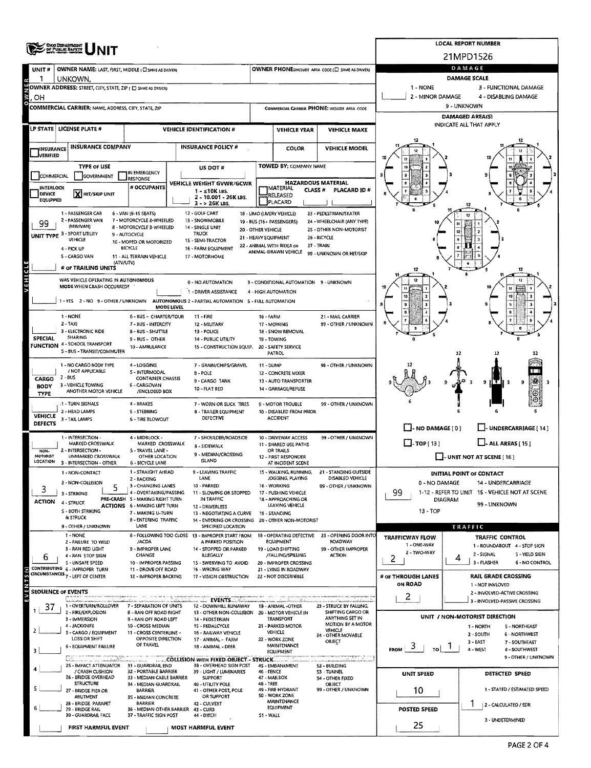| ONG DEPARTMENT<br>OF PUBLIC BAPETY |                                                                                          | <b>LOCAL REPORT NUMBER</b>                                             |                               |                                                                               |                      |                                                               |                                                       |                                       |                |                                                               |  |  |  |
|------------------------------------|------------------------------------------------------------------------------------------|------------------------------------------------------------------------|-------------------------------|-------------------------------------------------------------------------------|----------------------|---------------------------------------------------------------|-------------------------------------------------------|---------------------------------------|----------------|---------------------------------------------------------------|--|--|--|
|                                    |                                                                                          |                                                                        |                               |                                                                               |                      |                                                               |                                                       |                                       |                | 21MPD1526                                                     |  |  |  |
| UNIT#                              | OWNER NAME: LAST, FIRST, MIDDLE (C) SAME AS DRIVER)                                      |                                                                        | DAMAGE<br><b>DAMAGE SCALE</b> |                                                                               |                      |                                                               |                                                       |                                       |                |                                                               |  |  |  |
| 1                                  | UNKOWN.<br>OWNER ADDRESS: STREET, CITY, STATE, ZIP ( E) SAME AS DRIVERY                  |                                                                        |                               |                                                                               |                      |                                                               |                                                       | 1 - NONE                              |                | 3 - FUNCTIONAL DAMAGE                                         |  |  |  |
| OН                                 |                                                                                          |                                                                        |                               |                                                                               |                      |                                                               |                                                       | 2 - MINOR DAMAGE                      |                | 4 - DISABLING DAMAGE                                          |  |  |  |
|                                    | <b>COMMERCIAL CARRIER: NAME ADDRESS, CITY, STATE, ZIP</b>                                |                                                                        |                               |                                                                               |                      |                                                               | COMMERCIAL CARRIER PHONE: INCLUDE AREA CODE           | 9 - UNKNOWN<br>DAMAGED AREA(S)        |                |                                                               |  |  |  |
|                                    |                                                                                          |                                                                        |                               |                                                                               |                      |                                                               |                                                       | INDICATE ALL THAT APPLY               |                |                                                               |  |  |  |
|                                    | LP STATE LICENSE PLATE #                                                                 |                                                                        |                               | <b>VEHICLE IDENTIFICATION #</b>                                               |                      | <b>VEHICLE YEAR</b>                                           | <b>VEHICLE MAKE</b>                                   |                                       |                |                                                               |  |  |  |
| <b>INSURANCE</b>                   | <b>INSURANCE COMPANY</b>                                                                 |                                                                        |                               | <b>INSURANCE POLICY #</b>                                                     |                      | COLOR                                                         | <b>VEHICLE MODEL</b>                                  |                                       |                |                                                               |  |  |  |
| <b>J</b> verified                  |                                                                                          |                                                                        |                               |                                                                               |                      |                                                               |                                                       |                                       |                |                                                               |  |  |  |
| COMMERCIAL                         | <b>TYPE OF USE</b><br>GOVERNMENT                                                         | IN EMERGENCY<br>RESPONSE                                               |                               | US DOT #                                                                      |                      | TOWED BY: COMPANY NAME                                        |                                                       |                                       |                |                                                               |  |  |  |
| INTERLOCK                          |                                                                                          | # OCCUPANTS                                                            |                               | <b>VEHICLE WEIGHT GVWR/GCWR</b><br>$1 - 510K$ LBS.                            |                      | <b>HAZARDOUS MATERIAL</b><br>MATERIAL<br>CLASS <sup>#</sup>   | PLACARD ID#                                           |                                       |                |                                                               |  |  |  |
| DEVICE<br><b>EQUIPPED</b>          | X HIT/SKIP UNIT                                                                          |                                                                        |                               | 2 - 10.001 - 26K LBS.<br>$3 - 26K$ LBS.                                       |                      | RELEASED<br>PLACARD                                           |                                                       |                                       |                |                                                               |  |  |  |
|                                    | 1 - PASSENGER CAR                                                                        | 6 - VAN (9-15 SEATS)                                                   |                               | 12 - GOLF CART                                                                |                      | 18 - LIMO (LIVERY VEHICLE)                                    | 23 - PEDESTRIAN/SKATER                                |                                       |                | 12                                                            |  |  |  |
| 99                                 | 2 - PASSENGER VAN<br>(MINIVAN)                                                           | 7 - MOTORCYCLE 2-WHEELED<br>8 - MOTORCYCLE 3-WHEELED                   |                               | 13 - SNOWMOBILE<br>14 - SINGLE UNIT                                           | 20 - OTHER VEHICLE   | 19 - BUS (16+ PASSENGERS)                                     | 24 - WHEELCHAIR (ANY TYPE)<br>25 - OTHER NON-MOTORIST |                                       |                |                                                               |  |  |  |
|                                    | UNIT TYPE 3 - SPORT UTILITY<br>VEHICLE                                                   | 9 - AUTOCYCLE<br>10 - MOPED OR MOTORIZED                               |                               | TRUCK<br>15 - SEMI-TRACTOR                                                    | 21 - HEAVY EQUIPMENT |                                                               | 26 - BICYCLE                                          |                                       |                |                                                               |  |  |  |
|                                    | 4 - PICK UP                                                                              | <b>BICYCLE</b>                                                         |                               | 16 - FARM EQUIPMENT                                                           |                      | 22 - ANIMAL WITH RIDER OR<br>ANIMAL-DRAWN VEHICLE             | 27 - TRAIN<br>99 - UNKNOWN OR HIT/SKIP                |                                       |                |                                                               |  |  |  |
|                                    | S - CARGO VAN<br>(ATV/UTV)<br># of TRAILING UNITS                                        | 11 - ALL TERRAIN VEHICLE                                               |                               | 17 - MOTORHOME                                                                |                      |                                                               |                                                       |                                       |                |                                                               |  |  |  |
| x                                  | WAS VEHICLE OPERATING IN AUTONOMOUS                                                      |                                                                        |                               |                                                                               |                      |                                                               |                                                       |                                       |                |                                                               |  |  |  |
|                                    | MODE WHEN CRASH OCCURRED?                                                                |                                                                        |                               | 0 - NO AUTOMATION<br>1 - DRIVER ASSISTANCE                                    |                      | 3 - CONDITIONAL AUTOMATION 9 - UNKNOWN<br>4 - HIGH AUTOMATION |                                                       |                                       |                |                                                               |  |  |  |
|                                    | 1 - YES 2 - NO 9 - OTHER / UNKNOWN AUTONOMOUS 2 - PARTIAL AUTOMATION S - FULL AUTOMATION |                                                                        |                               |                                                                               |                      |                                                               |                                                       |                                       |                |                                                               |  |  |  |
|                                    | 1 - NONE                                                                                 | 6 - BUS - CHARTER/TOUR                                                 | <b>MODE LEVEL</b>             | $11 -$ FIRE                                                                   | 16 - FARM            |                                                               | 21 - MAIL CARRIER                                     |                                       |                |                                                               |  |  |  |
|                                    | $2 - TAX$                                                                                | 7 - BUS - INTERCITY                                                    |                               | 12 - MILITARY                                                                 |                      | 17 - MOWING                                                   | 99 - OTHER / UNKNOWN                                  |                                       |                |                                                               |  |  |  |
| <b>SPECIAL</b>                     | 3 - ELECTRONIC RIDE<br>SHARING                                                           | 8 - BUS - SHUTTLE<br>9 - BUS - OTHER                                   |                               | 13 - POLICE<br>14 - PUBLIC UTILITY                                            | 19 - TOWING          | 18 - SNOW REMOVAL                                             |                                                       |                                       |                |                                                               |  |  |  |
|                                    | FUNCTION 4 - SCHOOL TRANSPORT<br>5 - BUS - TRANSIT/COMMUTER                              | 10 - AMBULANCE                                                         |                               | 15 - CONSTRUCTION EQUIP.                                                      |                      | 20 - SAFETY SERVICE<br>PATROL                                 |                                                       |                                       | 12             |                                                               |  |  |  |
|                                    | 1 - NO CARGO BODY TYPE                                                                   | 4 - LOGGING                                                            |                               | 7 - GRAIN/CHIPS/GRAVEL                                                        | 11 - DUMP            |                                                               | 99 - OTHER / UNKNOWN                                  |                                       |                |                                                               |  |  |  |
| <b>CARGO</b>                       | / NOT APPLICABLE<br>2 - BUS                                                              | S - INTERMODAL<br><b>CONTAINER CHASSIS</b>                             |                               | B - POLE<br>9-CARGO TANK                                                      |                      | 12 - CONCRETE MIXER<br>13 - AUTO TRANSPORTER                  |                                                       |                                       |                | 9                                                             |  |  |  |
| <b>BODY</b><br><b>TYPE</b>         | 3 - VEHICLE TOWING<br>ANOTHER MOTOR VEHICLE                                              | 6 - CARGOVAN<br>/ENCLOSED BOX                                          |                               | 10 - FLAT BED                                                                 |                      | 14 - GARBAGE/REFUSE                                           |                                                       |                                       |                | 9                                                             |  |  |  |
|                                    | 1 - TURN SIGNALS                                                                         | 4 - BRAKES                                                             |                               | 7 - WORN OR SLICK TIRES                                                       |                      | 9 - MOTOR TROUBLE                                             | 99 - OTHER / UNKNOWN                                  |                                       |                |                                                               |  |  |  |
| <b>VEHICLE</b>                     | 2 - HEAD LAMPS<br>3 - TAIL LAMPS                                                         | 5 - STEERING<br><b>6 - TIRE BLOWOUT</b>                                |                               | 8 - TRAILER EQUIPMENT<br>DEFECTIVE                                            |                      | 10 - DISABLED FROM PRIOR<br><b>ACCIDENT</b>                   |                                                       |                                       |                |                                                               |  |  |  |
| <b>DEFECTS</b>                     |                                                                                          |                                                                        |                               |                                                                               |                      |                                                               |                                                       | $\Box$ - NO DAMAGE [ 0 ]              |                | - UNDERCARRIAGE [ 14 ]                                        |  |  |  |
|                                    | 1 - INTERSECTION -<br>MARKED CROSSWALK                                                   | 4 - MIDBLOCK -<br>MARKED CROSSWALK                                     |                               | 7 - SHOULDER/ROADSIDE<br>8 - SIDEWALK                                         |                      | 10 - DRIVEWAY ACCESS<br>11 - SHARED USE PATHS                 | 99 - OTHER / UNKNOWN                                  | $\Box$ -TOP [ 13 ]                    |                | $\Box$ - ALL AREAS (15)                                       |  |  |  |
| NON-<br>MOTORIST                   | 2 - INTERSECTION -<br>UNMARKED CROSSWALK                                                 | 5 - TRAVEL LANE -<br>OTHER LOCATION                                    |                               | 9 - MEDIAN/CROSSING<br>ISLAND                                                 |                      | OR TRAILS<br>12 - FIRST RESPONDER                             |                                                       |                                       |                | $\Box$ - UNIT NOT AT SCENE [ 16 ]                             |  |  |  |
| LOCATION                           | 3 - INTERSECTION - OTHER<br>1 - NON-CONTACT                                              | <b>6 - BICYCLE LANE</b><br>1 - STRAIGHT AHEAD                          |                               | <b>9 - LEAVING TRAFFIC</b>                                                    |                      | AT INCIDENT SCENE<br>15 - WALKIMG BUNNING                     | 21 - STANDING OUTSIDE                                 |                                       |                |                                                               |  |  |  |
|                                    | 2 - NON-COLLISION                                                                        | 2 - BACKING<br>3 - CHANGING LANES                                      |                               | LANE                                                                          |                      | JOGGING, PLAYING                                              | DISABLED VEHICLE                                      | 0 - NO DAMAGE                         |                | INITIAL POINT OF CONTACT<br>14 - UNDERCARRIAGE                |  |  |  |
| 3                                  | 3 - STRIKING                                                                             | 4 - OVERTAKING/PASSING                                                 |                               | 10 - PARKED<br>11 - SLOWING OR STOPPED                                        |                      | 16 - WORKING<br>17 - PUSHING VEHICLE                          | 99 - OTHER / UNKNOWN                                  | 99                                    |                | 1-12 - REFER TO UNIT 15 - VEHICLE NOT AT SCENE                |  |  |  |
| <b>ACTION</b>                      | 4 - STRUCK                                                                               | PRE-CRASH 5 - MAKING RIGHT TURN<br><b>ACTIONS 6 - MAKING LEFT TURN</b> |                               | IN TRAFFIC<br>12 - DRIVERLESS                                                 |                      | 18 - APPROACHING OR<br>LEAVING VEHICLE                        |                                                       |                                       | <b>DIAGRAM</b> | 99 - UNKNOWN                                                  |  |  |  |
|                                    | S - BOTH STRIKING<br>& STRUCK                                                            | 7 - MAKING U-TURN<br><b>8 - ENTERING TRAFFIC</b>                       |                               | 13 - NEGOTIATING A CURVE<br>14 - ENTERING OR CROSSING 20 - OTHER NON-MOTORIST |                      | 19 - STANDING                                                 |                                                       | 13 - TOP                              |                |                                                               |  |  |  |
|                                    | 9 - OTHER / UNKNOWN<br>1 - NONE                                                          | <b>LANE</b>                                                            |                               | SPECIFIED LOCATION<br>8 - FOLLOWING TOO CLOSE 13 - IMPROPER START FROM        |                      | 18 - OPERATING DEFECTIVE                                      | 23 - OPENING DOOR INTO                                |                                       |                | TRAFFIC                                                       |  |  |  |
|                                    | 2 - FAILURE TO YIELD<br>3 - RAN RED LIGHT                                                | /ACDA<br>9 - IMPROPER LANE                                             |                               | A PARKED POSITION<br>14 - STOPPED OR PARKED                                   |                      | <b>EQUIPMENT</b><br>19 - LOAD SHIFTING                        | ROADWAY<br>99 - OTHER IMPROPER                        | <b>TRAFFICWAY FLOW</b><br>1 - ONE-WAY |                | <b>TRAFFIC CONTROL</b><br>1 - ROUNDABOUT 4 - STOP SIGN        |  |  |  |
| 6                                  | 4 - RAN STOP SIGN                                                                        | CHANGE                                                                 |                               | <b>ILLEGALLY</b>                                                              |                      | /FALLING/SPILLING                                             | <b>ACTION</b>                                         | 2 - TWO-WAY<br>2                      | 4              | 2 - SIGNAL<br>S - YIELD SIGN                                  |  |  |  |
|                                    | S - UNSAFE SPEED<br>CONTRIBUTING 6 - IMPROPER TURN                                       | 10 - IMPROPER PASSING<br>11 - DROVE OFF ROAD                           |                               | 15 - SWERVING TO AVOID<br>16 - WRONG WAY                                      |                      | 20 - IMPROPER CROSSING<br>21 - LYING IN ROADWAY               |                                                       |                                       |                | 3 - FLASHER<br>6 - NO CONTROL                                 |  |  |  |
|                                    | CIRCUMSTANCES <sub>7</sub> - LEFT OF CENTER                                              | 12 - IMPROPER BACKING                                                  |                               | 17 - VISION OBSTRUCTION                                                       |                      | 22 - NOT DISCERNIBLE                                          |                                                       | # of THROUGH LANES<br>ON ROAD         |                | <b>RAIL GRADE CROSSING</b><br>1 - NOT INVLOVED                |  |  |  |
|                                    | <b>SEOUENCE OF EVENTS</b>                                                                |                                                                        |                               | $\ldots$ events $\ldots$                                                      |                      |                                                               |                                                       | 2                                     |                | 2 - INVOLVED-ACTIVE CROSSING                                  |  |  |  |
| 37                                 | 1 - OVERTURN/ROLLOVER<br>2 - FIRE/EXPLOSION                                              | 7 - SEPARATION OF UNITS                                                |                               | 12 - DOWNHILL RUNAWAY                                                         |                      | 19 - ANIMAL -OTHER                                            | 23 - STRUCK BY FALLING,<br>SHIFTING CARGO OR          |                                       |                | 3 - INVOLVED-PASSIVE CROSSING                                 |  |  |  |
|                                    | 3 - IMMERSION                                                                            | 8 - RAN OFF ROAD RIGHT<br>9 - RAN OFF ROAD LEFT                        |                               | 13 - OTHER NON-COLLISION<br>14 - PEDESTRIAN                                   |                      | 20 - MOTOR VEHICLE IN<br>TRANSPORT                            | ANYTHING SET IN<br>MOTION BY A MOTOR                  |                                       |                | UNIT / NON-MOTORIST DIRECTION                                 |  |  |  |
|                                    | 4 - JACKKNIFE<br>S - CARGO / EQUIPMENT                                                   | 10 - CROSS MEDIAN<br>11 - CROSS CENTERLINE -                           |                               | 15 - PEDALCYCLE<br>16 - RAILWAY VEHICLE                                       |                      | 21 - PARKED MOTOR<br>VEHICLE                                  | VEHICLE<br>24 - OTHER MOVABLE                         |                                       |                | 1 - NORTH<br><b>S-NORTHEAST</b><br>2 - SOUTH<br>6 - NORTHWEST |  |  |  |
|                                    | LOSS OR SHIFT<br>6 - EQUIPMENT FAILURE                                                   | OPPOSITE DIRECTION<br>OF TRAVEL                                        |                               | 17 - ANIMAL - FARM<br>18 - ANIMAL - DEER                                      |                      | 22 - WORK ZONE<br>MAINTENANCE                                 | OBJECT                                                | $\mathcal{I}$<br><b>FROM</b><br>τo Ι  |                | $3 - EAST$<br>7 - SOUTHEAST<br>4 - WEST<br>8 - SOUTHWEST      |  |  |  |
|                                    | <b>Call Contains and Call Call</b><br>marindi                                            |                                                                        |                               | COLLISION WITH FIXED OBJECT - STRUCK                                          |                      | EQUIPMENT                                                     | menongryphin (m. 1                                    |                                       |                | 9 - DTHER / UNKNOWN                                           |  |  |  |
|                                    | 25 - IMPACT ATTENUATOR 31 - GUARDRAIL END<br>/ CRASH CUSHION                             | 32 - PORTABLE BARRIER                                                  |                               | 3B - OVERHEAD SIGN POST<br>39 - LIGHT / LUMINARIES                            | 46 - FENCE           | 45 - EMBANKMENT                                               | 52 - BUILDING<br><b>53 - TUNNEL</b>                   | <b>UNIT SPEED</b>                     |                | DETECTED SPEED                                                |  |  |  |
|                                    | 26 - BRIDGE OVERHEAD<br><b>STRUCTURE</b>                                                 | 33 - MEDIAN CABLE BARRIER<br>34 - MEDIAN GUARDRAIL                     |                               | <b>SUPPORT</b><br>40 - UTILITY POLE                                           | 48 - TREE            | 47 - MAILBOX                                                  | 54 - OTHER FIXED<br><b>OBJECT</b>                     |                                       |                |                                                               |  |  |  |
|                                    | 27 - BRIDGE PIER OR<br>ABUTMENT                                                          | <b>BARRIER</b><br>35 - MEDIAN CONCRETE                                 |                               | 41 - OTHER POST, POLE<br>OR SUPPORT                                           |                      | 49 - FIRE HYDRANT<br>50 - WORK ZONE                           | 99 - OTHER / UNKNOWN                                  | 10                                    |                | 1 - STATED / ESTIMATED SPEED                                  |  |  |  |
|                                    | 28 - BRIDGE PARAPET<br>29 - BRIDGE RAIL                                                  | <b>BARRIER</b><br>36 - MEDIAN OTHER BARRIER 43 - CURB                  |                               | 42 - CULVERT                                                                  |                      | MAINTENANCE<br><b>EQUIPMENT</b>                               |                                                       | <b>POSTED SPEED</b>                   |                | 2 - CALCULATED / EDR                                          |  |  |  |
|                                    | 30 - GUARDRAIL FACE                                                                      | 37 - TRAFFIC SIGN POST                                                 |                               | 44 - DITCH                                                                    | S1 - WALL            |                                                               |                                                       |                                       |                | 3 - UNDETERMINED                                              |  |  |  |
|                                    | FIRST HARMFUL EVENT                                                                      |                                                                        |                               | <b>MOST HARMFUL EVENT</b>                                                     |                      |                                                               |                                                       | 25                                    |                |                                                               |  |  |  |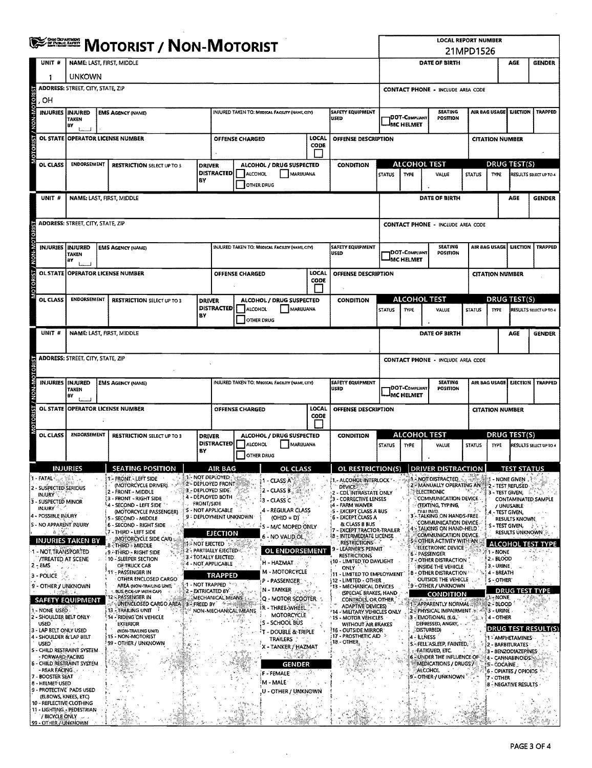|                                                    | <b>OHIO DEPARTMENT</b><br>OF PUBLIC BAFKTY<br><b>MOTORIST / NON-MOTORIST</b> |                                                   |                                                        |     |                                                     |                        |                                                 |                          |                                                             | <b>LOCAL REPORT NUMBER</b><br>21MPD1526<br>AGE |                                    |                                                               |               |                        |                                             |                                 |  |
|----------------------------------------------------|------------------------------------------------------------------------------|---------------------------------------------------|--------------------------------------------------------|-----|-----------------------------------------------------|------------------------|-------------------------------------------------|--------------------------|-------------------------------------------------------------|------------------------------------------------|------------------------------------|---------------------------------------------------------------|---------------|------------------------|---------------------------------------------|---------------------------------|--|
| UNIT #                                             |                                                                              | <b>NAME: LAST, FIRST, MIDDLE</b><br><b>UNKOWN</b> |                                                        |     |                                                     |                        |                                                 |                          |                                                             |                                                |                                    | DATE OF BIRTH                                                 |               |                        |                                             | <b>GENDER</b>                   |  |
| 1                                                  |                                                                              | <b>ADDRESS: STREET, CITY, STATE, ZIP</b>          |                                                        |     |                                                     |                        |                                                 |                          |                                                             |                                                |                                    |                                                               |               |                        |                                             |                                 |  |
|                                                    |                                                                              |                                                   |                                                        |     |                                                     |                        |                                                 |                          |                                                             | <b>CONTACT PHONE - INCLUDE AREA CODE</b>       |                                    |                                                               |               |                        |                                             |                                 |  |
| OН                                                 | INJURED TAKEN TO: MEDICAL FACILITY (NAME, CITY)                              |                                                   |                                                        |     |                                                     |                        |                                                 |                          |                                                             |                                                |                                    |                                                               |               |                        |                                             |                                 |  |
| MOTORIST / NON-MOTOR                               | <b>INJURIES INJURED</b><br><b>EMS AGENCY (NAME)</b><br><b>TAKEN</b><br>BY    |                                                   |                                                        |     |                                                     |                        |                                                 | SAFETY EQUIPMENT<br>USED |                                                             | DOT-COMPLIANT<br><b>MC HELMET</b>              | <b>SEATING</b><br>POSITION         |                                                               | AIR BAG USAGE | <b>EJECTION</b>        | <b>TRAPPED</b>                              |                                 |  |
|                                                    |                                                                              |                                                   | OL STATE OPERATOR LICENSE NUMBER                       |     |                                                     | <b>OFFENSE CHARGED</b> |                                                 | LOCAL                    | <b>OFFENSE DESCRIPTION</b>                                  |                                                |                                    |                                                               |               | <b>CITATION NUMBER</b> |                                             |                                 |  |
|                                                    |                                                                              |                                                   |                                                        |     |                                                     |                        |                                                 | CODE                     |                                                             |                                                |                                    |                                                               |               |                        |                                             |                                 |  |
| OL CLASS                                           | <b>ENDORSEMENT</b>                                                           |                                                   | <b>RESTRICTION SELECT UP TO 3</b>                      |     |                                                     |                        | ALCOHOL / DRUG SUSPECTED                        |                          | <b>CONDITION</b>                                            |                                                | <b>ALCOHOL TEST</b>                |                                                               |               |                        | <b>DRUG TEST(S)</b>                         |                                 |  |
|                                                    |                                                                              |                                                   |                                                        |     | <b>DRIVER</b><br><b>DISTRACTED</b>                  | ALCOHOL                | MARIJUANA                                       |                          |                                                             | <b>STATUS</b>                                  | <b>TYPE</b>                        | VALUE                                                         | <b>STATUS</b> | TYPE                   |                                             | RESULTS SELECT UP TO 4          |  |
|                                                    |                                                                              |                                                   |                                                        | BY  |                                                     | <b>OTHER DRUG</b>      |                                                 |                          |                                                             |                                                |                                    |                                                               |               |                        |                                             |                                 |  |
| UNIT #                                             |                                                                              |                                                   | NAME: LAST, FIRST, MIDDLE                              |     |                                                     |                        |                                                 |                          |                                                             |                                                |                                    | DATE OF BIRTH                                                 |               |                        | AGE                                         | <b>GENDER</b>                   |  |
|                                                    |                                                                              |                                                   |                                                        |     |                                                     |                        |                                                 |                          |                                                             |                                                |                                    |                                                               |               |                        |                                             |                                 |  |
|                                                    |                                                                              |                                                   |                                                        |     |                                                     |                        |                                                 |                          |                                                             |                                                |                                    |                                                               |               |                        |                                             |                                 |  |
|                                                    | <b>ADDRESS: STREET, CITY, STATE, ZIP</b>                                     |                                                   |                                                        |     |                                                     |                        |                                                 |                          |                                                             |                                                |                                    | <b>CONTACT PHONE - INCLUDE AREA CODE</b>                      |               |                        |                                             |                                 |  |
| <b>INJURIES</b>                                    | <b>INJURED</b>                                                               |                                                   | <b>EMS AGENCY (NAME)</b>                               |     |                                                     |                        | INJURED TAKEN TO: MEDICAL FACILITY (NAME, CITY) |                          | <b>SAFETY EQUIPMENT</b>                                     |                                                |                                    | <b>SEATING</b>                                                |               | AIR BAG USAGE          | <b>EJECTION</b>                             | <b>TRAPPED</b>                  |  |
|                                                    | <b>TAKEN</b><br>BY                                                           |                                                   |                                                        |     |                                                     |                        |                                                 |                          | USED                                                        |                                                | <b>DOT-COMPLIANT</b><br>MC HELMET  | POSITION                                                      |               |                        |                                             |                                 |  |
|                                                    |                                                                              |                                                   |                                                        |     |                                                     |                        |                                                 | LOCAL                    |                                                             |                                                |                                    |                                                               |               |                        |                                             |                                 |  |
| <b>MOTORIST / NON-MOTORI</b><br><b>OL STATE</b>    |                                                                              |                                                   | OPERATOR LICENSE NUMBER                                |     |                                                     | <b>OFFENSE CHARGED</b> |                                                 | <b>CODE</b>              | OFFENSE DESCRIPTION                                         |                                                |                                    |                                                               |               | <b>CITATION NUMBER</b> |                                             |                                 |  |
|                                                    |                                                                              |                                                   |                                                        |     |                                                     |                        |                                                 |                          |                                                             |                                                |                                    |                                                               |               |                        |                                             |                                 |  |
| <b>OL CLASS</b>                                    | <b>ENDORSEMENT</b>                                                           |                                                   | <b>RESTRICTION SELECT UP TO 3</b>                      |     | <b>DRIVER</b>                                       |                        | ALCOHOL / DRUG SUSPECTED                        |                          | <b>CONDITION</b>                                            |                                                | <b>ALCOHOL TEST</b>                |                                                               |               |                        | <b>DRUG TEST(S)</b>                         |                                 |  |
|                                                    |                                                                              |                                                   |                                                        | BY  | <b>DISTRACTED</b>                                   | <b>ALCOHOL</b>         | MARIJUANA                                       |                          |                                                             | <b>STATUS</b>                                  | <b>TYPE</b>                        | VALUE                                                         | <b>STATUS</b> | <b>TYPE</b>            |                                             | RESULTS SELECT UP TO 4          |  |
|                                                    |                                                                              |                                                   |                                                        |     |                                                     | OTHER DRUG             |                                                 |                          |                                                             |                                                |                                    |                                                               |               |                        |                                             |                                 |  |
| UNIT #                                             |                                                                              |                                                   | NAME: LAST, FIRST, MIDDLE                              |     |                                                     |                        |                                                 |                          |                                                             |                                                |                                    | DATE OF BIRTH                                                 |               |                        | AGE                                         | <b>GENDER</b>                   |  |
|                                                    |                                                                              |                                                   |                                                        |     |                                                     |                        |                                                 |                          |                                                             |                                                |                                    |                                                               |               |                        |                                             |                                 |  |
|                                                    | <b>ADDRESS: STREET, CITY, STATE, ZIP</b>                                     |                                                   |                                                        |     |                                                     |                        |                                                 |                          |                                                             |                                                |                                    | <b>CONTACT PHONE - INCLUDE AREA CODE</b>                      |               |                        |                                             |                                 |  |
|                                                    |                                                                              |                                                   |                                                        |     |                                                     |                        |                                                 |                          |                                                             |                                                |                                    | <b>SEATING</b>                                                |               |                        |                                             |                                 |  |
| MOTORIST / NON-MOTORI                              | <b>INJURIES   INJURED</b><br><b>TAKEN</b>                                    |                                                   | <b>EMS AGENCY (NAME)</b>                               |     |                                                     |                        | INJURED TAKEN TO: MEDICAL FACILITY (NAME, CITY) |                          | <b>SAFETY EQUIPMENT</b><br>USED                             |                                                | DOT-COMPLIANT                      | POSITION                                                      |               | AIR BAG USAGE          |                                             | <b>EJECTION   TRAPPED</b>       |  |
|                                                    | l av                                                                         |                                                   |                                                        |     |                                                     |                        |                                                 |                          |                                                             |                                                | IMC HELMET                         |                                                               |               |                        |                                             |                                 |  |
|                                                    |                                                                              |                                                   | OL STATE   OPERATOR LICENSE NUMBER                     |     |                                                     | <b>OFFENSE CHARGED</b> |                                                 | LOCAL<br>CODE            | OFFENSE DESCRIPTION                                         |                                                |                                    |                                                               |               | <b>CITATION NUMBER</b> |                                             |                                 |  |
|                                                    |                                                                              |                                                   |                                                        |     |                                                     |                        |                                                 |                          |                                                             |                                                |                                    |                                                               |               |                        |                                             |                                 |  |
| <b>OL CLASS</b>                                    | <b>ENDORSEMENT</b>                                                           |                                                   | <b>RESTRICTION SELECT UP TO 3</b>                      |     | <b>DRIVER</b>                                       |                        | ALCOHOL / DRUG SUSPECTED                        |                          | <b>CONDITION</b>                                            |                                                | <b>ALCOHOL TEST</b>                |                                                               |               |                        | <u>DRUG TEST(S)</u>                         |                                 |  |
|                                                    |                                                                              |                                                   |                                                        | BY  | <b>DISTRACTED</b>                                   | ALCOHOL                | MARUUANA                                        |                          |                                                             | <b>STATUS</b>                                  | TYPE                               | VALUE                                                         | <b>STATUS</b> | <b>TYPE</b>            |                                             | RESULTS SELECT UP TO 4          |  |
|                                                    |                                                                              |                                                   |                                                        |     |                                                     | <b>OTHER DRUG</b>      |                                                 |                          |                                                             |                                                |                                    |                                                               |               |                        |                                             |                                 |  |
|                                                    | <b>INJURIES</b>                                                              |                                                   | <b>SEATING POSITION</b>                                |     | AIR BAG                                             |                        | OL CLASS                                        |                          | OL RESTRICTION(S)                                           |                                                |                                    | <b>DRIVER DISTRACTION</b>                                     |               |                        | <b>TEST STATUS</b>                          |                                 |  |
| 1 - FATAL :                                        |                                                                              |                                                   | - FRONT. LEFT SIDE<br>(MOTORCYCLE DRIVER).             |     | 1 - NOT DEPLOYED<br><b>2-DEPLOYED FRONT</b>         |                        | 1 - CLASS A                                     |                          | - ALCOHOL INTERLOCK                                         |                                                |                                    | - NOT DISTRACTED<br>- MANUALLY OPERATING AN                   | an ka         |                        | ា - NONE GIVEN . ៖<br>2 - TEST REFUSED      |                                 |  |
| 2 - SUSPECTED SERIOUS<br>INJURY <sup>3</sup>       |                                                                              |                                                   | - FRONT - MIDDLE                                       |     | 3 - DEPLOYED SIDE.                                  |                        | $2 - CLASSB$                                    |                          | <b>DEVICE</b><br>2 - CDÍ INTRASTATE ONLY                    |                                                |                                    | <b>ELECTRONIC</b>                                             |               |                        | 3 - TEST GIVEN:                             |                                 |  |
| 3 - SUSPECTED MINOR                                |                                                                              |                                                   | 3 - FRONT - RIGHT SIDE<br>4 - SECOND - LEFT SIDE       |     | 4 - DEPLOYED BOTH<br><b>FRONT/SIDE</b>              |                        | 3 - CLASS C                                     |                          | 3 - CORRECTIVE LENSES<br><sub>1</sub> 4 - FARM WAIVER       |                                                |                                    | COMMUNICATION DEVICE<br>(TEXTING, TYPING,                     |               |                        | / UNUSABLE                                  | <b>CONTAMINATED SAMPLE</b>      |  |
| INJURY $\mathbb{R}^n$<br>4 - POSSIBLE INJURY       |                                                                              |                                                   | (MOTORCYCLE PASSENGER)<br>5 - SECOND - MIDDLE          |     | <b>5 - NOT APPLICABLE</b><br>9 - DEPLOYMENT UNKNOWN |                        | 4 - REGULAR CLASS<br>$(OHIO = D)'$              |                          | : 5 - EXCEPT CLASS A BUS<br>6 - EXCEPT CLASS A              |                                                |                                    | DIAI ING)<br>3 - TALKING ON HANDS-FREE                        |               | 4 - TEST GIVEN,        |                                             |                                 |  |
| <b>S - NO APPARENT INJURY</b>                      |                                                                              |                                                   | 6 - SECOND - RIGHT SIDE                                | 熟悉子 |                                                     |                        | ' S - M/C MOPED ONLY                            |                          | & CLASS B BUS<br><b>EXCEPT TRACTOR-TRAILER</b>              |                                                |                                    | <b>COMMUNICATION DEVICE</b><br>4 - TALKING ON HAND-HELD       |               |                        | <b>RESULTS KNOWN</b><br>S - TEST GIVEN,     |                                 |  |
| 商品等品                                               | <b>INJURIES TAKEN BY</b>                                                     |                                                   | (7 - Third - Left Side<br>(MOTORCYCLE SIDE CAR) &      |     | <b>EJECTION</b>                                     |                        | - NO VALID OL                                   |                          | 18 - INTERMEDIATE LICENSE                                   |                                                |                                    | COMMUNICATION DEVICE<br>5 - OTHER ACTIVITY WITH AN            |               |                        | RESULTS UNKNOWN                             |                                 |  |
| 1 - NOT TRANSPORTED                                |                                                                              |                                                   | 8 - THIRD - MIDDLE                                     |     | <b>1. NOT EJECTED</b><br>2 - PARTIALLY EJECTED      |                        | OL ENDORSEMENT                                  |                          | <b>RESTRICTIONS</b><br>- LEARNER'S PERMIT                   |                                                |                                    | ELECTRONIC DEVICE                                             |               | ៍1 - NONE              |                                             | <b>ALCOHOL TEST TYPE</b><br>55. |  |
| <b>/TREATED AT SCENE</b>                           |                                                                              |                                                   | : 9. THIRD - RIGHT SIDE<br>10 - SLEEPER SECTION        |     | 3 - TOTALLY EJECTED.                                |                        | H - HAZMAT.                                     |                          | <b>RESTRICTIONS</b><br>(10 - LIMITED TO DAYLIGHT            |                                                |                                    | 6 - PASSENGER<br>7 - OTHER DISTRACTION                        |               | 2 - BLOOD              |                                             |                                 |  |
| $2 - EMS$                                          |                                                                              |                                                   | OF TRUCK CAB<br>11 - PASSENGER IN                      |     | 4 - NOT APPLICABLE                                  |                        | M - MOTORCYCLE                                  |                          | ONLY<br>11 - LIMITED TO EMPLOYMENT                          |                                                |                                    | INSIDE THE VEHICLE<br><b>B - OTHER DISTRACTION</b>            |               | 3. URINE<br>4 - BREATH |                                             |                                 |  |
| 3 - POLICE                                         |                                                                              |                                                   | OTHER ENCLOSED CARGO                                   |     | <b>TRAPPED</b><br>1 - NOT TRAPPED                   |                        | P - PASSENGER                                   |                          | 12 - LIMITED - OTHER                                        |                                                |                                    | OUTSIDE THE VEHICLE                                           |               | S - OTHER              |                                             |                                 |  |
| 9 - OTHER / UNKNOWN                                | 主の影響しま                                                                       |                                                   | AREA (NON-TRAILING UNIT)<br>BUS, PICK-UP WITH CAP)     |     | 2 - EXTRICATED BY                                   |                        | N - TANKER                                      |                          | 13 - MECHANICAL DEVICES<br>(SPECIAL BRAKES, HAND            |                                                |                                    | {9'- OTHER / UNKNOWN<br>CONDITION                             |               |                        | <b>DRUG TEST TYPE</b>                       |                                 |  |
| <b>SAFETY EQUIPMENT</b>                            |                                                                              |                                                   | 12 - PASSENGER IN<br>UNENCLOSED CARGO AREA 32 FREED BY |     | MECHANICAL MEANS                                    |                        | Q - MOTOR SCOOTER:                              |                          | CONTROLS, OR OTHER<br><b>ADAPTIVE DEVICES)</b>              |                                                |                                    | <b>TE APPARENTLY NORMAL</b>                                   |               | 1-NONE<br>2-BLOOD      |                                             |                                 |  |
| 1 - None used<br>2 - SHOULDER BELT ONLY            |                                                                              |                                                   | 13 - TRAILING UNIT<br>14 - RIDING ON VEHICLE           |     | NON-MECHANICAL MEANS                                |                        | ir - Three-Wheel<br><b>MOTORCYCLE</b>           |                          | '14 - MILITARY VEHICLES ONLY<br>' 15 - MOTOR VEHICLES       |                                                |                                    | 2 PHYSICAL IMPAIRMENT 3 A 23 - URINE<br>3 - EMOTIONAL (E.G. ) | 74.X.         | 4 - OTHER              |                                             |                                 |  |
| <b>USED <i>s s f</i></b>                           |                                                                              |                                                   | <b>EXTERIOR</b>                                        |     |                                                     |                        | S - SCHOOL BUS                                  |                          | WITHOUT AIR BRAKES                                          |                                                |                                    | DEPRESSED, ANGRY,                                             |               |                        |                                             | DRUG TEST RESULT(S              |  |
| 3 - LAP BELT ONLY USED<br>4 - SHOULDER & LAP BELT  |                                                                              |                                                   | (NON-TRAILING UNIT)<br>15 - NON-MOTORIST               |     |                                                     |                        | T - DOUBLE & TRIPLE<br><b>TRAILERS</b> , "      |                          | 16 - OUTSIDE MIRROR<br>$317$ - PROSTHETIC AID $\rightarrow$ |                                                | <i>_</i> disturbed)<br>4 - ILLNESS |                                                               |               |                        | 1 - AMPHETAMINES                            |                                 |  |
| USED <sup>®</sup><br>5 - CHILD RESTRAINT SYSTEM    | المجربة با                                                                   |                                                   | 99 - OTHER / UNKNOWN                                   |     |                                                     |                        | X - TANKER / HAZMAT                             |                          | $\left\langle \text{18 - OTHER}\right\rangle$               |                                                |                                    | S - FELL ASLEEP, FAINTED,<br><b>FATIGUED, ETC.</b>            |               |                        | 2 - BARBITURATES<br>3 - BENZODIAZEPINES     |                                 |  |
| - FORWARD FACING                                   |                                                                              |                                                   |                                                        |     |                                                     |                        | 4 S                                             |                          |                                                             |                                                |                                    | <b>6 - UNDER THE INFLUENCE OF</b>                             |               |                        | 4 - CANNABINOIDS.                           |                                 |  |
| <b>6 - CHILD RESTRAINT SYSTEM</b><br>- REAR FACING |                                                                              |                                                   |                                                        |     |                                                     |                        | <b>GENDER</b>                                   | il≯.                     | 汤                                                           |                                                |                                    | <b>MEDICATIONS / DRUGS</b><br><b>ALCOHOL</b>                  |               |                        | 5 - COCAINE - NA<br>6 - OPIATES / OPIOIOS * |                                 |  |
| 7 - BOOSTER SEAT<br><b>B-HELMET-USED</b>           |                                                                              |                                                   |                                                        |     |                                                     |                        | F - FEMALE<br>M - MALE<br>τV                    |                          |                                                             |                                                |                                    | 9 - OTHER / UNKNOWN                                           |               | 7 - OTHER              |                                             |                                 |  |
| 9 - PROTECTIVE PADS USED                           |                                                                              |                                                   |                                                        |     |                                                     |                        | U - OTHER / UNKNOWN                             |                          |                                                             |                                                |                                    |                                                               |               |                        | <b>8 - NEGATIVE RESULTS</b>                 |                                 |  |
| 10 - REFLECTIVE CLOTHING                           | (ELBOWS, KNEES, ETC)                                                         |                                                   |                                                        |     |                                                     |                        |                                                 |                          |                                                             |                                                |                                    |                                                               |               |                        |                                             |                                 |  |
| 11 - LIGHTING - PEDESTRIAN<br>/ BICYCLE ONLY       |                                                                              |                                                   |                                                        |     |                                                     |                        |                                                 |                          |                                                             |                                                |                                    |                                                               |               |                        |                                             |                                 |  |
| 99 - OTHER / UNKNOWN                               |                                                                              |                                                   |                                                        |     |                                                     |                        |                                                 |                          |                                                             |                                                |                                    |                                                               |               |                        |                                             |                                 |  |

 $\mathcal{A}^{\text{max}}_{\text{max}}$  and  $\mathcal{A}^{\text{max}}_{\text{max}}$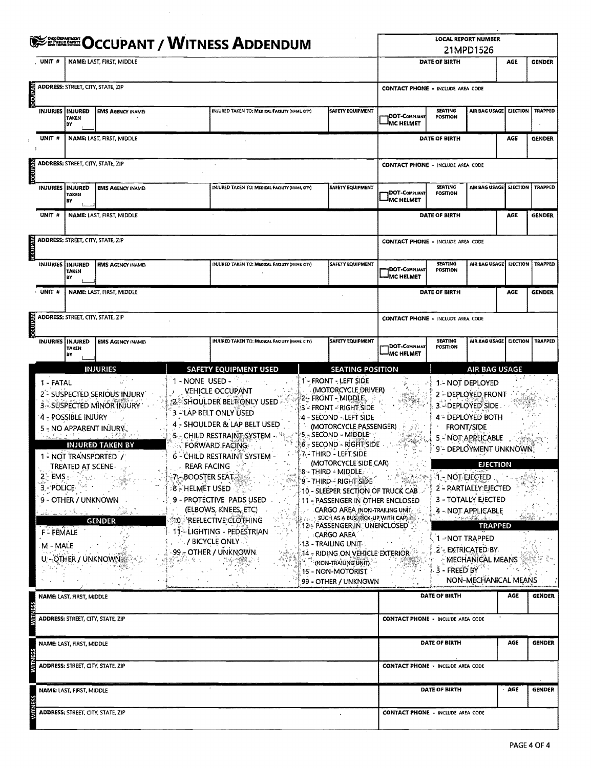|                |                                                                      |                                                                        | <b>SERRE OCCUPANT / WITNESS ADDENDUM</b>                                                                                                                                                                 | <b>LOCAL REPORT NUMBER</b><br>21MPD1526                                                                                                   |                                                                                                                                                                                                                                                                                                                                                                                         |                                                                                                                                                                                                                                                                                                                                                                                                                                                                                                                                                                                                                                                         |                                             |                                                                               |                                                                                                                                                                                                                                                                                                                      |                 |                |
|----------------|----------------------------------------------------------------------|------------------------------------------------------------------------|----------------------------------------------------------------------------------------------------------------------------------------------------------------------------------------------------------|-------------------------------------------------------------------------------------------------------------------------------------------|-----------------------------------------------------------------------------------------------------------------------------------------------------------------------------------------------------------------------------------------------------------------------------------------------------------------------------------------------------------------------------------------|---------------------------------------------------------------------------------------------------------------------------------------------------------------------------------------------------------------------------------------------------------------------------------------------------------------------------------------------------------------------------------------------------------------------------------------------------------------------------------------------------------------------------------------------------------------------------------------------------------------------------------------------------------|---------------------------------------------|-------------------------------------------------------------------------------|----------------------------------------------------------------------------------------------------------------------------------------------------------------------------------------------------------------------------------------------------------------------------------------------------------------------|-----------------|----------------|
|                | UNIT #                                                               |                                                                        | NAME: LAST, FIRST, MIDDLE                                                                                                                                                                                |                                                                                                                                           |                                                                                                                                                                                                                                                                                                                                                                                         |                                                                                                                                                                                                                                                                                                                                                                                                                                                                                                                                                                                                                                                         |                                             | DATE OF BIRTH                                                                 |                                                                                                                                                                                                                                                                                                                      | AGE             | <b>GENDER</b>  |
| <b>MdnD2C</b>  |                                                                      | ADDRESS: STREET, CITY, STATE, ZIP                                      |                                                                                                                                                                                                          |                                                                                                                                           | <b>CONTACT PHONE - INCLUDE AREA CODE</b>                                                                                                                                                                                                                                                                                                                                                |                                                                                                                                                                                                                                                                                                                                                                                                                                                                                                                                                                                                                                                         |                                             |                                                                               |                                                                                                                                                                                                                                                                                                                      |                 |                |
|                |                                                                      | INJURIES   INJURED<br><b>TAKEN</b><br>ΒY                               | <b>EMS AGENCY (NAME)</b>                                                                                                                                                                                 |                                                                                                                                           | INJURED TAKEN TO: MEDICAL FACILITY (NAME, CITY)                                                                                                                                                                                                                                                                                                                                         | DOT-Compliant<br>MC HELMET                                                                                                                                                                                                                                                                                                                                                                                                                                                                                                                                                                                                                              | <b>SEATING</b><br><b>POSITION</b>           | AIR BAG USAGE                                                                 | <b>EJECTION</b>                                                                                                                                                                                                                                                                                                      | <b>TRAPPED</b>  |                |
|                | UNIT #                                                               |                                                                        | NAME: LAST, FIRST, MIDDLE                                                                                                                                                                                |                                                                                                                                           |                                                                                                                                                                                                                                                                                                                                                                                         |                                                                                                                                                                                                                                                                                                                                                                                                                                                                                                                                                                                                                                                         |                                             | DATE OF BIRTH                                                                 |                                                                                                                                                                                                                                                                                                                      | AGE             | <b>GENDER</b>  |
| Adupto         |                                                                      | ADDRESS: STREET, CITY, STATE, ZIP                                      |                                                                                                                                                                                                          |                                                                                                                                           |                                                                                                                                                                                                                                                                                                                                                                                         |                                                                                                                                                                                                                                                                                                                                                                                                                                                                                                                                                                                                                                                         | <b>CONTACT PHONE - INCLUDE AREA CODE</b>    |                                                                               |                                                                                                                                                                                                                                                                                                                      |                 |                |
|                |                                                                      | INJURIES   INJURED<br><b>TAKEN</b><br>BY                               | <b>EMS AGENCY INAME:</b>                                                                                                                                                                                 |                                                                                                                                           | INJURED TAKEN TO: MEDICAL FACILITY (NAME, GITY)                                                                                                                                                                                                                                                                                                                                         | SAFETY EQUIPMENT                                                                                                                                                                                                                                                                                                                                                                                                                                                                                                                                                                                                                                        | DOT-COMPLIANT<br>MC HELMET                  | <b>SEATING</b><br><b>POSITION</b>                                             | AIR BAG USAGE EJECTION                                                                                                                                                                                                                                                                                               |                 | <b>TRAPPED</b> |
|                | UNIT #                                                               |                                                                        | NAME: LAST, FIRST, MIDDLE                                                                                                                                                                                |                                                                                                                                           |                                                                                                                                                                                                                                                                                                                                                                                         |                                                                                                                                                                                                                                                                                                                                                                                                                                                                                                                                                                                                                                                         |                                             | DATE OF BIRTH                                                                 |                                                                                                                                                                                                                                                                                                                      | AGE             | <b>GENDER</b>  |
| <b>OCCUPAN</b> |                                                                      | ADDRESS: STREET, CITY, STATE, ZIP                                      |                                                                                                                                                                                                          |                                                                                                                                           |                                                                                                                                                                                                                                                                                                                                                                                         |                                                                                                                                                                                                                                                                                                                                                                                                                                                                                                                                                                                                                                                         | <b>CONTACT PHONE - INCLUDE AREA CODE</b>    |                                                                               |                                                                                                                                                                                                                                                                                                                      |                 |                |
|                | <b>INJURIES</b>                                                      | <b>INJURED</b><br>TAKEN<br>BY                                          | <b>EMS AGENCY (NAME)</b>                                                                                                                                                                                 |                                                                                                                                           | INJURED TAKEN TO: MEDICAL FACILITY (NAME, CITY)                                                                                                                                                                                                                                                                                                                                         | <b>SAFETY EQUIPMENT</b>                                                                                                                                                                                                                                                                                                                                                                                                                                                                                                                                                                                                                                 | <b>IDOT-C</b> ompliant<br><b>AMC HELMET</b> | <b>SEATING</b><br><b>POSITION</b>                                             | AIR BAG USAGE EJECTION                                                                                                                                                                                                                                                                                               |                 | <b>TRAPPED</b> |
|                | UNIT #                                                               | NAME: LAST, FIRST, MIDDLE                                              |                                                                                                                                                                                                          |                                                                                                                                           |                                                                                                                                                                                                                                                                                                                                                                                         |                                                                                                                                                                                                                                                                                                                                                                                                                                                                                                                                                                                                                                                         |                                             | DATE OF BIRTH                                                                 |                                                                                                                                                                                                                                                                                                                      |                 |                |
| <b>VK40DOC</b> |                                                                      | <b>ADDRESS: STREET, CITY, STATE, ZIP</b>                               |                                                                                                                                                                                                          |                                                                                                                                           |                                                                                                                                                                                                                                                                                                                                                                                         |                                                                                                                                                                                                                                                                                                                                                                                                                                                                                                                                                                                                                                                         | <b>CONTACT PHONE - INCLUDE AREA CODE</b>    |                                                                               |                                                                                                                                                                                                                                                                                                                      |                 |                |
|                | <b>INJURIES</b>                                                      | <b>INJURED</b><br><b>TAKEN</b><br>BY                                   | <b>EMS AGENCY (NAME)</b>                                                                                                                                                                                 |                                                                                                                                           | INJURED TAKEN TO; MEDICAL FACILITY (NAME, CITY)                                                                                                                                                                                                                                                                                                                                         | SAFETY EQUIPMENT                                                                                                                                                                                                                                                                                                                                                                                                                                                                                                                                                                                                                                        | DOT-Compliant<br><b>IMC HELMET</b>          | <b>SEATING</b><br><b>POSITION</b>                                             | AIR BAG USAGE                                                                                                                                                                                                                                                                                                        | <b>EJECTION</b> | <b>TRAPPED</b> |
|                |                                                                      |                                                                        | <b>INJURIES</b>                                                                                                                                                                                          |                                                                                                                                           | <b>SAFETY EQUIPMENT USED</b>                                                                                                                                                                                                                                                                                                                                                            | <b>SEATING POSITION</b>                                                                                                                                                                                                                                                                                                                                                                                                                                                                                                                                                                                                                                 |                                             |                                                                               | AIR BAG USAGE                                                                                                                                                                                                                                                                                                        |                 |                |
|                | 1 - FATAL<br>2'- EMS ∈∞<br>3 - POLICE<br><b>F-FEMALE</b><br>M - MALE | 4 - POSSIBLE INJURY<br><b>TREATED AT SCENE-</b><br>9 - OTHER / UNKNOWN | 2 <sup>-</sup> SUSPECTED SERIOUS INJURY<br>3 - SUSPECTED MINOR INJURY<br>5 - NO APPARENT INJURY.<br><b>INJURED TAKEN BY</b><br>1 - NOT TRANSPORTED' /<br>િકરે કો<br><b>GENDER</b><br>U - OTHER / UNKNOWN | 1 - NONE USED -<br><b>REAR FACING</b><br>$\frac{1}{2}$ $\mathcal{P}_2$ - BOOSTER SEAT, $\mathcal{P}_3$<br>$\mathfrak{so}$ - Helmet used . | <b>VEHICLE OCCUPANT</b><br>2 - Shoulder Beltionly used :<br>3 - LAP BELT ONLY USED<br>4 - SHOULDER & LAP BELT USED<br>5 - CHILD RESTRAINT SYSTEM -<br>FORWARD FACING<br>6 - CHILD RESTRAINT SYSTEM -<br>9 - PROTECTIVE PADS USED<br>(ELBOWS, KNEES, ETC)<br><b>MO - REFLECTIVE CLOTHING</b><br>11 - LIGHTING - PEDESTRIAN<br>$\ge$ / bicycle only $\mathbb{C}$<br>99 - OTHER / UNKNOWN. | 1 - FRONT - LEFT SIDE<br>(MOTORCYCLE DRIVER)<br><b>2 - FRONT - MIDDLE</b><br>3 - FRONT - RIGHT SIDE<br>4 - SECOND - LEFT SIDE<br>(MOTORCYCLE PASSENGER)<br>'5 - SECOND - MIDDLE '<br>6 - SECOND - RIGHT SIDE<br>7 - THIRD - LEFT SIDE<br>(MOTORCYCLE SIDE CAR)<br>8 - THIRD - MIDDLE<br>9 - THIRD - RIGHT SIDE<br>10 - SLEEPER SECTION OF TRUCK CAB<br>11 - PASSENGER IN OTHER ENCLOSED<br><b>CARGO AREA (NON-TRAILING UNIT)</b><br>SUCH AS A BUS PICK-UP WITH CAPI<br>12-- PASSENGER IN UNENCLOSED<br><b>CARGO AREA</b><br>13 - TRAILING UNIT-<br>.14 - RIDING ON VEHICLE EXTERIOR<br>(NON-TRAILING UNIT)<br>15 - NON-MOTORIST<br>99 - OTHER / UNKNOWN |                                             | <b>FRONT/SIDE</b><br>MARA DE NOT EJECTED .<br>1 - NOT TRAPPED<br>3 - FREED BY | 1.- NOT DEPLOYED<br>2 - DEPLOYED FRONT<br>3 - DEPLOYED SIDE<br>4 - DEPLOYED BOTH<br>5 - NOT APPLICABLE<br>9 - DEPLOYMENT UNKNOWN<br><b>EJECTION</b><br>2 - PARTIALEY: EJECTED<br>3 - TOTALLY EJECTED<br>4 - NOT APPLICABLE<br><b>TRAPPED</b><br>2'- EXTRICATED BY<br><b>MECHANICAL MEANS</b><br>NON-MECHANICAL MEANS |                 |                |
|                |                                                                      | NAME: LAST, FIRST, MIDDLE                                              |                                                                                                                                                                                                          |                                                                                                                                           |                                                                                                                                                                                                                                                                                                                                                                                         |                                                                                                                                                                                                                                                                                                                                                                                                                                                                                                                                                                                                                                                         |                                             | DATE OF BIRTH                                                                 |                                                                                                                                                                                                                                                                                                                      | AGE             | <b>GENDER</b>  |
|                |                                                                      |                                                                        | ADDRESS: STREET, CITY, STATE, ZIP                                                                                                                                                                        |                                                                                                                                           |                                                                                                                                                                                                                                                                                                                                                                                         |                                                                                                                                                                                                                                                                                                                                                                                                                                                                                                                                                                                                                                                         | <b>CONTACT PHONE - INCLUDE AREA CODE</b>    |                                                                               |                                                                                                                                                                                                                                                                                                                      |                 |                |
|                |                                                                      | NAME: LAST, FIRST, MIDDLE                                              |                                                                                                                                                                                                          |                                                                                                                                           |                                                                                                                                                                                                                                                                                                                                                                                         |                                                                                                                                                                                                                                                                                                                                                                                                                                                                                                                                                                                                                                                         |                                             | DATE OF BIRTH                                                                 |                                                                                                                                                                                                                                                                                                                      | AGE             | <b>GENDER</b>  |
|                |                                                                      |                                                                        | <b>ADDRESS: STREET, CITY, STATE, ZIP</b>                                                                                                                                                                 |                                                                                                                                           | <b>CONTACT PHONE - INCLUDE AREA CODE</b>                                                                                                                                                                                                                                                                                                                                                |                                                                                                                                                                                                                                                                                                                                                                                                                                                                                                                                                                                                                                                         |                                             |                                                                               |                                                                                                                                                                                                                                                                                                                      |                 |                |
|                |                                                                      | NAME: LAST, FIRST, MIDDLE                                              |                                                                                                                                                                                                          |                                                                                                                                           |                                                                                                                                                                                                                                                                                                                                                                                         |                                                                                                                                                                                                                                                                                                                                                                                                                                                                                                                                                                                                                                                         |                                             | DATE OF BIRTH                                                                 |                                                                                                                                                                                                                                                                                                                      | - AGE           | <b>GENDER</b>  |
|                |                                                                      |                                                                        | <b>ADDRESS: STREET, CITY, STATE, ZIP</b>                                                                                                                                                                 |                                                                                                                                           |                                                                                                                                                                                                                                                                                                                                                                                         |                                                                                                                                                                                                                                                                                                                                                                                                                                                                                                                                                                                                                                                         | <b>CONTACT PHONE - INCLUDE AREA CODE</b>    |                                                                               |                                                                                                                                                                                                                                                                                                                      |                 |                |

 $\mathcal{A}^{\text{max}}_{\text{max}}$